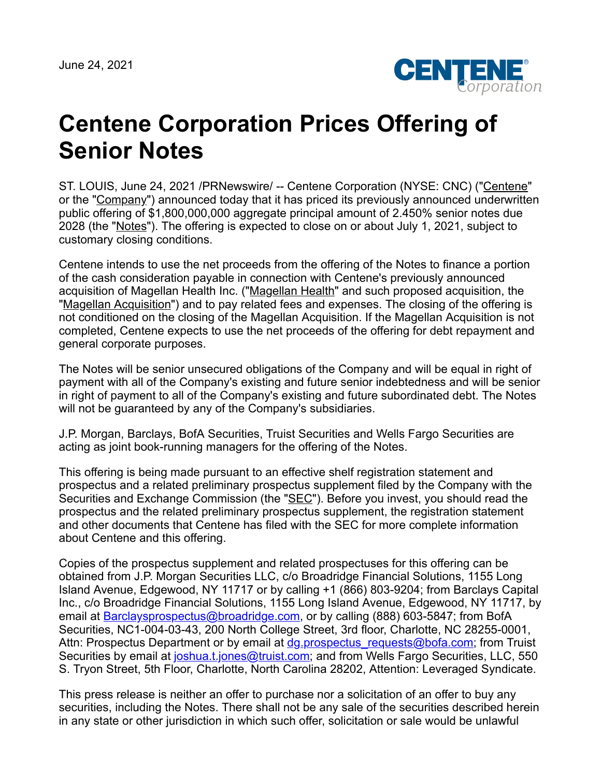June 24, 2021



## **Centene Corporation Prices Offering of Senior Notes**

ST. LOUIS, June 24, 2021 /PRNewswire/ -- Centene Corporation (NYSE: CNC) ("Centene" or the "Company") announced today that it has priced its previously announced underwritten public offering of \$1,800,000,000 aggregate principal amount of 2.450% senior notes due 2028 (the "Notes"). The offering is expected to close on or about July 1, 2021, subject to customary closing conditions.

Centene intends to use the net proceeds from the offering of the Notes to finance a portion of the cash consideration payable in connection with Centene's previously announced acquisition of Magellan Health Inc. ("Magellan Health" and such proposed acquisition, the "Magellan Acquisition") and to pay related fees and expenses. The closing of the offering is not conditioned on the closing of the Magellan Acquisition. If the Magellan Acquisition is not completed, Centene expects to use the net proceeds of the offering for debt repayment and general corporate purposes.

The Notes will be senior unsecured obligations of the Company and will be equal in right of payment with all of the Company's existing and future senior indebtedness and will be senior in right of payment to all of the Company's existing and future subordinated debt. The Notes will not be guaranteed by any of the Company's subsidiaries.

J.P. Morgan, Barclays, BofA Securities, Truist Securities and Wells Fargo Securities are acting as joint book-running managers for the offering of the Notes.

This offering is being made pursuant to an effective shelf registration statement and prospectus and a related preliminary prospectus supplement filed by the Company with the Securities and Exchange Commission (the "SEC"). Before you invest, you should read the prospectus and the related preliminary prospectus supplement, the registration statement and other documents that Centene has filed with the SEC for more complete information about Centene and this offering.

Copies of the prospectus supplement and related prospectuses for this offering can be obtained from J.P. Morgan Securities LLC, c/o Broadridge Financial Solutions, 1155 Long Island Avenue, Edgewood, NY 11717 or by calling +1 (866) 803-9204; from Barclays Capital Inc., c/o Broadridge Financial Solutions, 1155 Long Island Avenue, Edgewood, NY 11717, by email at [Barclaysprospectus@broadridge.com,](mailto:Barclaysprospectus@broadridge.com) or by calling (888) 603-5847; from BofA Securities, NC1-004-03-43, 200 North College Street, 3rd floor, Charlotte, NC 28255-0001, Attn: Prospectus Department or by email at [dg.prospectus\\_requests@bofa.com](mailto:dg.prospectus_requests@bofa.com); from Truist Securities by email at [joshua.t.jones@truist.com;](mailto:joshua.t.jones@truist.com) and from Wells Fargo Securities, LLC, 550 S. Tryon Street, 5th Floor, Charlotte, North Carolina 28202, Attention: Leveraged Syndicate.

This press release is neither an offer to purchase nor a solicitation of an offer to buy any securities, including the Notes. There shall not be any sale of the securities described herein in any state or other jurisdiction in which such offer, solicitation or sale would be unlawful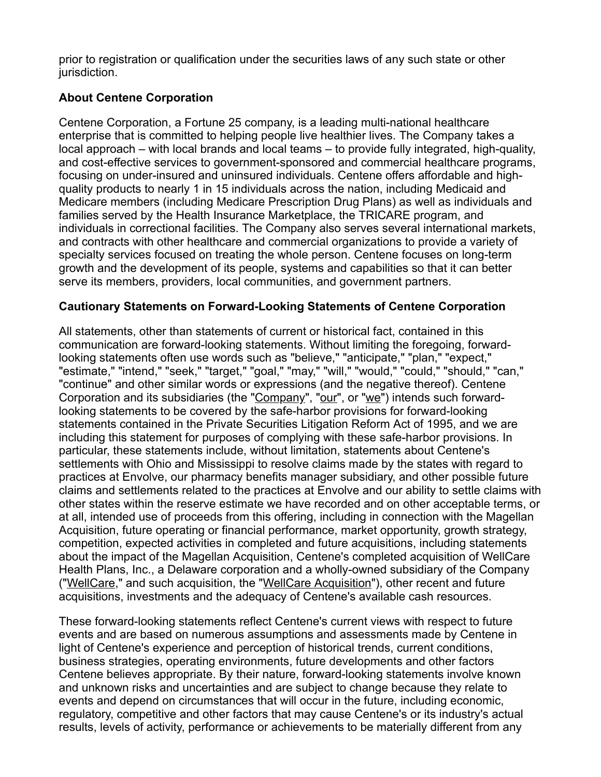prior to registration or qualification under the securities laws of any such state or other jurisdiction.

## **About Centene Corporation**

Centene Corporation, a Fortune 25 company, is a leading multi-national healthcare enterprise that is committed to helping people live healthier lives. The Company takes a local approach – with local brands and local teams – to provide fully integrated, high-quality, and cost-effective services to government-sponsored and commercial healthcare programs, focusing on under-insured and uninsured individuals. Centene offers affordable and highquality products to nearly 1 in 15 individuals across the nation, including Medicaid and Medicare members (including Medicare Prescription Drug Plans) as well as individuals and families served by the Health Insurance Marketplace, the TRICARE program, and individuals in correctional facilities. The Company also serves several international markets, and contracts with other healthcare and commercial organizations to provide a variety of specialty services focused on treating the whole person. Centene focuses on long-term growth and the development of its people, systems and capabilities so that it can better serve its members, providers, local communities, and government partners.

## **Cautionary Statements on Forward-Looking Statements of Centene Corporation**

All statements, other than statements of current or historical fact, contained in this communication are forward-looking statements. Without limiting the foregoing, forwardlooking statements often use words such as "believe," "anticipate," "plan," "expect," "estimate," "intend," "seek," "target," "goal," "may," "will," "would," "could," "should," "can," "continue" and other similar words or expressions (and the negative thereof). Centene Corporation and its subsidiaries (the "Company", "our", or "we") intends such forwardlooking statements to be covered by the safe-harbor provisions for forward-looking statements contained in the Private Securities Litigation Reform Act of 1995, and we are including this statement for purposes of complying with these safe-harbor provisions. In particular, these statements include, without limitation, statements about Centene's settlements with Ohio and Mississippi to resolve claims made by the states with regard to practices at Envolve, our pharmacy benefits manager subsidiary, and other possible future claims and settlements related to the practices at Envolve and our ability to settle claims with other states within the reserve estimate we have recorded and on other acceptable terms, or at all, intended use of proceeds from this offering, including in connection with the Magellan Acquisition, future operating or financial performance, market opportunity, growth strategy, competition, expected activities in completed and future acquisitions, including statements about the impact of the Magellan Acquisition, Centene's completed acquisition of WellCare Health Plans, Inc., a Delaware corporation and a wholly-owned subsidiary of the Company ("WellCare," and such acquisition, the "WellCare Acquisition"), other recent and future acquisitions, investments and the adequacy of Centene's available cash resources.

These forward-looking statements reflect Centene's current views with respect to future events and are based on numerous assumptions and assessments made by Centene in light of Centene's experience and perception of historical trends, current conditions, business strategies, operating environments, future developments and other factors Centene believes appropriate. By their nature, forward-looking statements involve known and unknown risks and uncertainties and are subject to change because they relate to events and depend on circumstances that will occur in the future, including economic, regulatory, competitive and other factors that may cause Centene's or its industry's actual results, levels of activity, performance or achievements to be materially different from any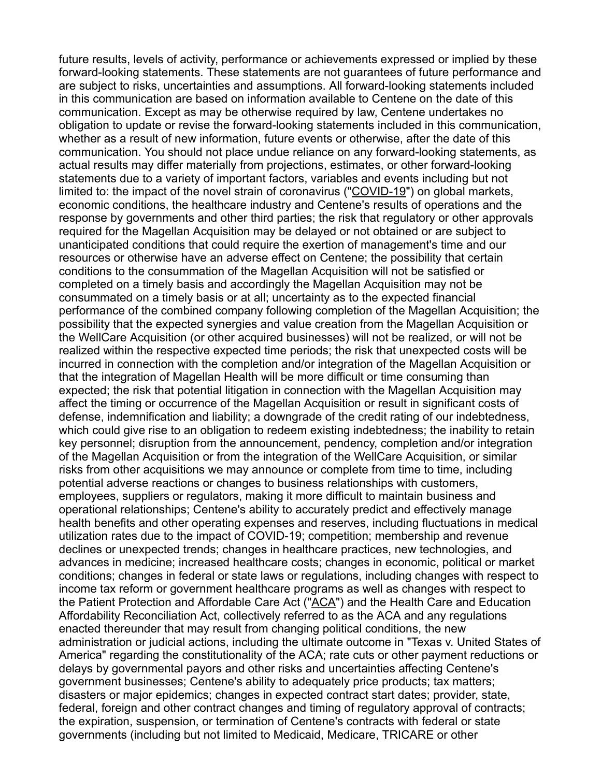future results, levels of activity, performance or achievements expressed or implied by these forward-looking statements. These statements are not guarantees of future performance and are subject to risks, uncertainties and assumptions. All forward-looking statements included in this communication are based on information available to Centene on the date of this communication. Except as may be otherwise required by law, Centene undertakes no obligation to update or revise the forward-looking statements included in this communication, whether as a result of new information, future events or otherwise, after the date of this communication. You should not place undue reliance on any forward-looking statements, as actual results may differ materially from projections, estimates, or other forward-looking statements due to a variety of important factors, variables and events including but not limited to: the impact of the novel strain of coronavirus ("COVID-19") on global markets, economic conditions, the healthcare industry and Centene's results of operations and the response by governments and other third parties; the risk that regulatory or other approvals required for the Magellan Acquisition may be delayed or not obtained or are subject to unanticipated conditions that could require the exertion of management's time and our resources or otherwise have an adverse effect on Centene; the possibility that certain conditions to the consummation of the Magellan Acquisition will not be satisfied or completed on a timely basis and accordingly the Magellan Acquisition may not be consummated on a timely basis or at all; uncertainty as to the expected financial performance of the combined company following completion of the Magellan Acquisition; the possibility that the expected synergies and value creation from the Magellan Acquisition or the WellCare Acquisition (or other acquired businesses) will not be realized, or will not be realized within the respective expected time periods; the risk that unexpected costs will be incurred in connection with the completion and/or integration of the Magellan Acquisition or that the integration of Magellan Health will be more difficult or time consuming than expected; the risk that potential litigation in connection with the Magellan Acquisition may affect the timing or occurrence of the Magellan Acquisition or result in significant costs of defense, indemnification and liability; a downgrade of the credit rating of our indebtedness, which could give rise to an obligation to redeem existing indebtedness; the inability to retain key personnel; disruption from the announcement, pendency, completion and/or integration of the Magellan Acquisition or from the integration of the WellCare Acquisition, or similar risks from other acquisitions we may announce or complete from time to time, including potential adverse reactions or changes to business relationships with customers, employees, suppliers or regulators, making it more difficult to maintain business and operational relationships; Centene's ability to accurately predict and effectively manage health benefits and other operating expenses and reserves, including fluctuations in medical utilization rates due to the impact of COVID-19; competition; membership and revenue declines or unexpected trends; changes in healthcare practices, new technologies, and advances in medicine; increased healthcare costs; changes in economic, political or market conditions; changes in federal or state laws or regulations, including changes with respect to income tax reform or government healthcare programs as well as changes with respect to the Patient Protection and Affordable Care Act ("ACA") and the Health Care and Education Affordability Reconciliation Act, collectively referred to as the ACA and any regulations enacted thereunder that may result from changing political conditions, the new administration or judicial actions, including the ultimate outcome in "Texas v. United States of America" regarding the constitutionality of the ACA; rate cuts or other payment reductions or delays by governmental payors and other risks and uncertainties affecting Centene's government businesses; Centene's ability to adequately price products; tax matters; disasters or major epidemics; changes in expected contract start dates; provider, state, federal, foreign and other contract changes and timing of regulatory approval of contracts; the expiration, suspension, or termination of Centene's contracts with federal or state governments (including but not limited to Medicaid, Medicare, TRICARE or other